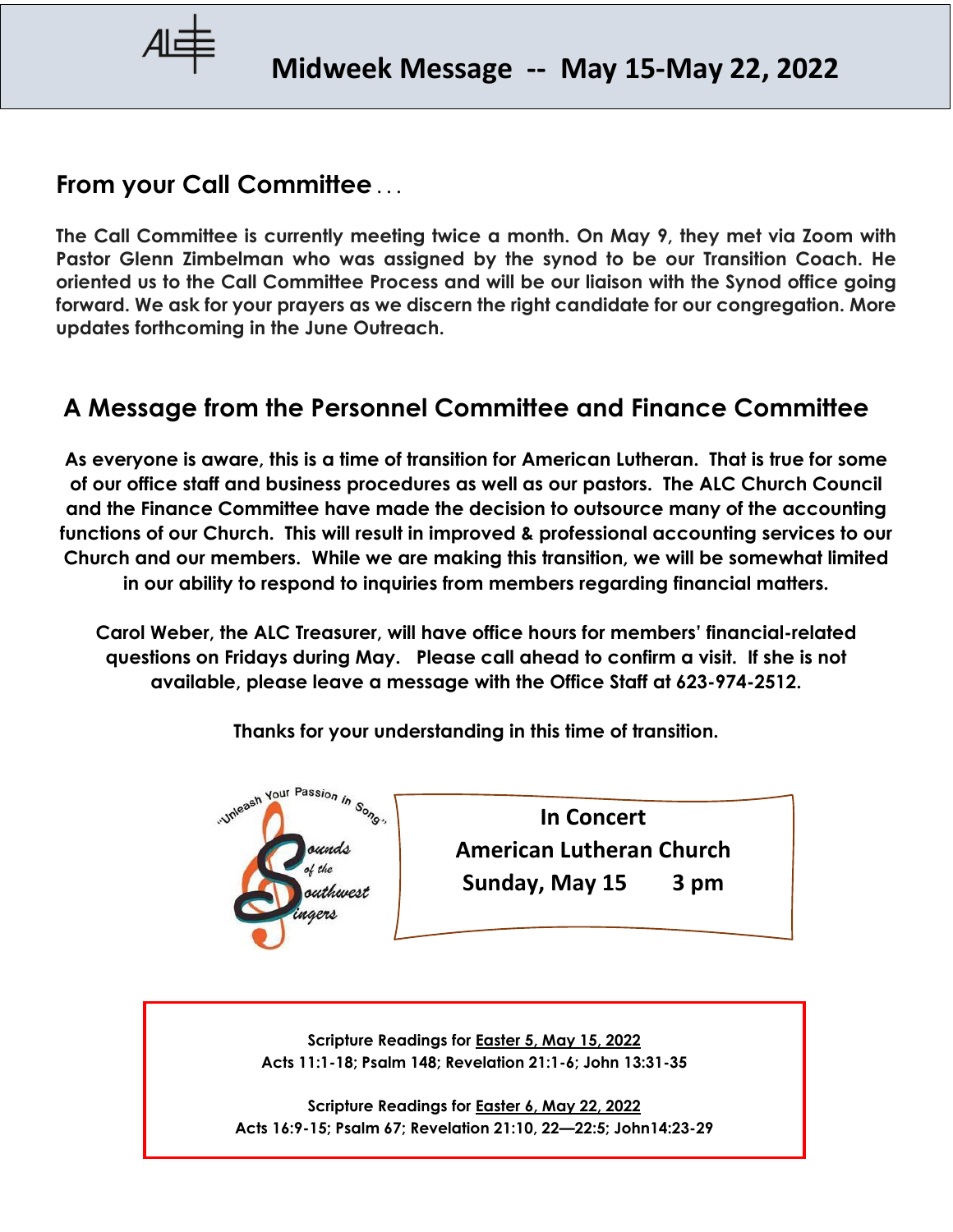

## **From your Call Committee . . .**

**The Call Committee is currently meeting twice a month. On May 9, they met via Zoom with Pastor Glenn Zimbelman who was assigned by the synod to be our Transition Coach. He oriented us to the Call Committee Process and will be our liaison with the Synod office going forward. We ask for your prayers as we discern the right candidate for our congregation. More updates forthcoming in the June Outreach.** 

# **A Message from the Personnel Committee and Finance Committee**

**As everyone is aware, this is a time of transition for American Lutheran. That is true for some of our office staff and business procedures as well as our pastors. The ALC Church Council and the Finance Committee have made the decision to outsource many of the accounting functions of our Church. This will result in improved & professional accounting services to our Church and our members. While we are making this transition, we will be somewhat limited in our ability to respond to inquiries from members regarding financial matters.**

**Carol Weber, the ALC Treasurer, will have office hours for members' financial-related questions on Fridays during May. Please call ahead to confirm a visit. If she is not available, please leave a message with the Office Staff at 623-974-2512.**

**Thanks for your understanding in this time of transition.**



**In Concert American Lutheran Church Sunday, May 15 3 pm**

**Scripture Readings for Easter 5, May 15, 2022 Acts 11:1-18; Psalm 148; Revelation 21:1-6; John 13:31-35**

**Scripture Readings for Easter 6, May 22, 2022 Acts 16:9-15; Psalm 67; Revelation 21:10, 22—22:5; John14:23-29**